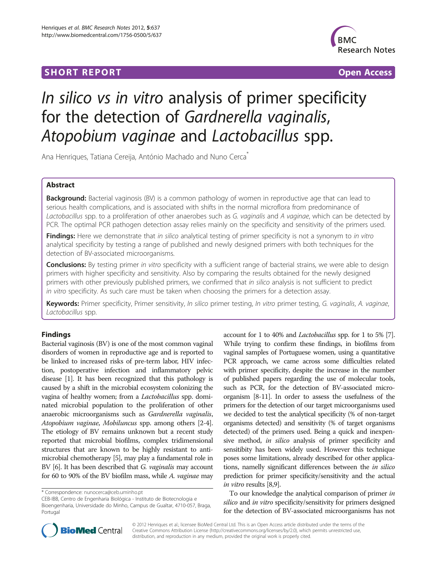## **SHORT REPORT SHORT CONSUMING THE SHORT CONSUMING THE SHORT CONSUMING THE SHORT CONSUMING THE SHORT CONSUMING THE SHORT CONSUMING THE SHORT CONSUMING THE SHORT CONSUMING THE SHORT CONSUMING THE SHORT CONSUMING THE SHORT**



# In silico vs in vitro analysis of primer specificity for the detection of Gardnerella vaginalis, Atopobium vaginae and Lactobacillus spp.

Ana Henriques, Tatiana Cereija, António Machado and Nuno Cerca<sup>\*</sup>

## Abstract

Background: Bacterial vaginosis (BV) is a common pathology of women in reproductive age that can lead to serious health complications, and is associated with shifts in the normal microflora from predominance of Lactobacillus spp. to a proliferation of other anaerobes such as G. vaginalis and A vaginae, which can be detected by PCR. The optimal PCR pathogen detection assay relies mainly on the specificity and sensitivity of the primers used.

Findings: Here we demonstrate that in silico analytical testing of primer specificity is not a synonym to in vitro analytical specificity by testing a range of published and newly designed primers with both techniques for the detection of BV-associated microorganisms.

Conclusions: By testing primer in vitro specificity with a sufficient range of bacterial strains, we were able to design primers with higher specificity and sensitivity. Also by comparing the results obtained for the newly designed primers with other previously published primers, we confirmed that in silico analysis is not sufficient to predict in vitro specificity. As such care must be taken when choosing the primers for a detection assay.

Keywords: Primer specificity, Primer sensitivity, In silico primer testing, In vitro primer testing, G. vaginalis, A. vaginae, Lactobacillus spp.

## Findings

Bacterial vaginosis (BV) is one of the most common vaginal disorders of women in reproductive age and is reported to be linked to increased risks of pre-term labor, HIV infection, postoperative infection and inflammatory pelvic disease [\[1](#page-3-0)]. It has been recognized that this pathology is caused by a shift in the microbial ecosystem colonizing the vagina of healthy women; from a Lactobacillus spp. dominated microbial population to the proliferation of other anaerobic microorganisms such as Gardnerella vaginalis, Atopobium vaginae, Mobiluncus spp. among others [[2](#page-3-0)-[4](#page-3-0)]. The etiology of BV remains unknown but a recent study reported that microbial biofilms, complex tridimensional structures that are known to be highly resistant to antimicrobial chemotherapy [\[5\]](#page-3-0), may play a fundamental role in BV [[6](#page-3-0)]. It has been described that *G. vaginalis* may account for 60 to 90% of the BV biofilm mass, while A. vaginae may

CEB-IBB, Centro de Engenharia Biológica - Instituto de Biotecnologia e Bioengenharia, Universidade do Minho, Campus de Gualtar, 4710-057, Braga, Portugal

account for 1 to 40% and Lactobacillus spp. for 1 to 5% [\[7](#page-3-0)]. While trying to confirm these findings, in biofilms from vaginal samples of Portuguese women, using a quantitative PCR approach, we came across some difficulties related with primer specificity, despite the increase in the number of published papers regarding the use of molecular tools, such as PCR, for the detection of BV-associated microorganism [\[8-11\]](#page-3-0). In order to assess the usefulness of the primers for the detection of our target microorganisms used we decided to test the analytical specificity (% of non-target organisms detected) and sensitivity (% of target organisms detected) of the primers used. Being a quick and inexpensive method, in silico analysis of primer specificity and sensitibity has been widely used. However this technique poses some limitations, already described for other applications, namelly significant differences between the in silico prediction for primer specificity/sensitivity and the actual in vitro results [[8,9\]](#page-3-0).

To our knowledge the analytical comparison of primer in silico and in vitro specificity/sensitivity for primers designed for the detection of BV-associated microorganisms has not



© 2012 Henriques et al.; licensee BioMed Central Ltd. This is an Open Access article distributed under the terms of the Creative Commons Attribution License (<http://creativecommons.org/licenses/by/2.0>), which permits unrestricted use, distribution, and reproduction in any medium, provided the original work is properly cited.

<sup>\*</sup> Correspondence: [nunocerca@ceb.uminho.pt](mailto:nunocerca@ceb.uminho.pt)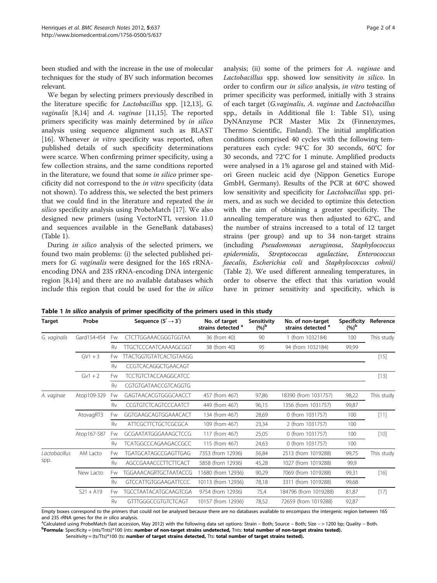been studied and with the increase in the use of molecular techniques for the study of BV such information becomes relevant.

We began by selecting primers previously described in the literature specific for Lactobacillus spp. [[12](#page-3-0),[13](#page-3-0)], G. vaginalis [[8](#page-3-0),[14](#page-3-0)] and A. vaginae [[11](#page-3-0),[15](#page-3-0)]. The reported primers specificity was mainly determined by in silico analysis using sequence alignment such as BLAST [[16\]](#page-3-0). Whenever in vitro specificity was reported, often published details of such specificity determinations were scarce. When confirming primer specificity, using a few collection strains, and the same conditions reported in the literature, we found that some in silico primer specificity did not correspond to the in vitro specificity (data not shown). To address this, we selected the best primers that we could find in the literature and repeated the in silico specificity analysis using ProbeMatch [\[17\]](#page-3-0). We also designed new primers (using VectorNTI, version 11.0 and sequences available in the GeneBank databases) (Table 1).

During in silico analysis of the selected primers, we found two main problems: (i) the selected published primers for G. vaginalis were designed for the 16S rRNAencoding DNA and 23S rRNA-encoding DNA intergenic region [\[8,14](#page-3-0)] and there are no available databases which include this region that could be used for the in silico

analysis; (ii) some of the primers for A. vaginae and Lactobacillus spp. showed low sensitivity in silico. In order to confirm our in silico analysis, in vitro testing of primer specificity was performed, initially with 3 strains of each target (G.vaginalis, A. vaginae and Lactobacillus spp., details in Additional file [1:](#page-3-0) Table S1), using DyNAnzyme PCR Master Mix 2x (Finnenzymes, Thermo Scientific, Finland). The initial amplification conditions comprised 40 cycles with the following temperatures each cycle: 94°C for 30 seconds, 60°C for 30 seconds, and 72°C for 1 minute. Amplified products were analysed in a 1% agarose gel and stained with Midori Green nucleic acid dye (Nippon Genetics Europe GmbH, Germany). Results of the PCR at 60°C showed low sensitivity and specificity for Lactobacillus spp. primers, and as such we decided to optimize this detection with the aim of obtaining a greater specificity. The annealing temperature was then adjusted to 62°C, and the number of strains increased to a total of 12 target strains (per group) and up to 34 non-target strains (including Pseudomonas aeruginosa, Staphylococcus epidermidis, Streptococcus agalactiae, Enterococcus faecalis, Escherichia coli and Staphylococcus cohnii) (Table [2\)](#page-2-0). We used different annealing temperatures, in order to observe the effect that this variation would have in primer sensitivity and specificity, which is

Table 1 In silico analysis of primer specificity of the primers used in this study

| Target                       | Probe       |    | Sequence $(5' \rightarrow 3')$ | No. of target<br>strains detected <sup>a</sup> | Sensitivity<br>$(%)^{\mathsf{b}}$ | No. of non-target<br>strains detected <sup>a</sup> | <b>Specificity</b><br>$(%)^{\rm b}$ | Reference  |
|------------------------------|-------------|----|--------------------------------|------------------------------------------------|-----------------------------------|----------------------------------------------------|-------------------------------------|------------|
| G. vaginalis                 | Gard154-454 | Fw | CTCTTGGAAACGGGTGGTAA           | 36 (from 40)                                   | 90                                | 1 (from 1032184)                                   | 100                                 | This study |
|                              |             | Rv | TTGCTCCCAATCAAAAGCGGT          | 38 (from 40)                                   | 95                                | 94 (from 1032184)                                  | 99,99                               |            |
|                              | $GV1 + 3$   | Fw | <b>TTACTGGTGTATCACTGTAAGG</b>  |                                                |                                   |                                                    |                                     | $[15]$     |
|                              |             | Rv | CCGTCACAGGCTGAACAGT            |                                                |                                   |                                                    |                                     |            |
|                              | $Gv1 + 2$   | Fw | <b>TCCTGTCTACCAAGGCATCC</b>    |                                                |                                   |                                                    |                                     | $[13]$     |
|                              |             | Rv | CGTGTGATAACCGTCAGGTG           |                                                |                                   |                                                    |                                     |            |
| A. vaginae                   | Atop109-329 | Fw | GAGTAACACGTGGGCAACCT           | 457 (from 467)                                 | 97,86                             | 18390 (from 1031757)                               | 98,22                               | This study |
|                              |             | Rv | CCGTGTCTCAGTCCCAATCT           | 449 (from 467)                                 | 96,15                             | 1356 (from 1031757)                                | 99,87                               |            |
|                              | AtovagRT3   | Fw | GGTGAAGCAGTGGAAACACT           | 134 (from 467)                                 | 28,69                             | 0 (from 1031757)                                   | 100                                 | [11]       |
|                              |             | Rv | <b>ATTCGCTTCTGCTCGCGCA</b>     | 109 (from 467)                                 | 23,34                             | 2 (from 1031757)                                   | 100                                 |            |
|                              | Atop167-587 | Fw | GCGAATATGGGAAAGCTCCG           | 117 (from 467)                                 | 25,05                             | 0 (from 1031757)                                   | 100                                 | [10]       |
|                              |             | Rv | <b>TCATGGCCCAGAAGACCGCC</b>    | 115 (from 467)                                 | 24,63                             | 0 (from 1031757)                                   | 100                                 |            |
| <i>Lactobacillus</i><br>spp. | AM Lacto    | Fw | TGATGCATAGCCGAGTTGAG           | 7353 (from 12936)                              | 56,84                             | 2513 (from 1019288)                                | 99,75                               | This study |
|                              |             | Rv | AGCCGAAACCCTTCTTCACT           | 5858 (from 12936)                              | 45,28                             | 1027 (from 1019288)                                | 99,9                                |            |
|                              | New Lacto   | Fw | TGGAAACAGRTGCTAATACCG          | 11680 (from 12936)                             | 90,29                             | 7069 (from 1019288)                                | 99,31                               | $[16]$     |
|                              |             | Rv | <b>GTCCATTGTGGAAGATTCCC</b>    | 10113 (from 12936)                             | 78,18                             | 3311 (from 1019288)                                | 99,68                               |            |
|                              | $S21 + A19$ | Fw | <b>TGCCTAATACATGCAAGTCGA</b>   | 9754 (from 12936)                              | 75,4                              | 184796 (from 1019288)                              | 81,87                               | $[17]$     |
|                              |             | Rv | GTTTGGGCCGTGTCTCAGT            | 10157 (from 12936)                             | 78,52                             | 72659 (from 1019288)                               | 92,87                               |            |

Empty boxes correspond to the primers that could not be analysed because there are no databases available to encompass the intergenic region between 16S and 23S rRNA genes for the in silico analysis.

<sup>a</sup>Calculated using ProbeMatch (last accession, May 2012) with the following data set options: Strain – Both; Source – Both; Size – > 1200 bp; Quality – Both. Formula: Specificity = (nts/Tnts)\*100 (nts: number of non-target strains undetected, Tnts: total number of non-target strains tested).

Sensitivity = (ts/Tts)\*100 (ts: number of target strains detected, Tts: total number of target strains tested).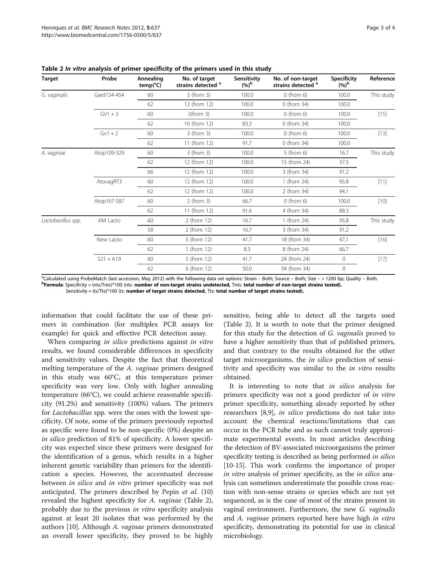| <b>Target</b>      | Probe       | Annealing<br>$temp(^{\circ}C)$ | No. of target<br>strains detected <sup>a</sup> | Sensitivity<br>$(%)^{\rm b}$ | No. of non-target<br>strains detected <sup>a</sup> | <b>Specificity</b><br>$(%)^{\rm b}$ | Reference  |
|--------------------|-------------|--------------------------------|------------------------------------------------|------------------------------|----------------------------------------------------|-------------------------------------|------------|
| G. vaginalis       | Gard154-454 | 60                             | 3 (from 3)                                     | 100.0                        | $0$ (from 6)                                       | 100.0                               | This study |
|                    |             | 62                             | 12 (from 12)                                   | 100.0                        | 0 (from 34)                                        | 100.0                               |            |
|                    | $GV1+3$     | 60                             | $3$ (from $3$ )                                | 100.0                        | $0$ (from $6$ )                                    | 100.0                               | $[15]$     |
|                    |             | 62                             | 10 (from 12)                                   | 83.3                         | 0 (from 34)                                        | 100.0                               |            |
|                    | $Gv1 + 2$   | 60                             | 3 (from 3)                                     | 100.0                        | $0$ (from $6$ )                                    | 100.0                               | $[13]$     |
|                    |             | 62                             | 11 (from 12)                                   | 91.7                         | 0 (from 34)                                        | 100.0                               |            |
| A. vaginae         | Atop109-329 | 60                             | 3 (from 3)                                     | 100.0                        | $5$ (from 6)                                       | 16.7                                | This study |
|                    |             | 62                             | 12 (from 12)                                   | 100.0                        | 15 (from 24)                                       | 37.5                                |            |
|                    |             | 66                             | 12 (from 12)                                   | 100.0                        | 3 (from 34)                                        | 91.2                                |            |
|                    | AtovagRT3   | 60                             | 12 (from 12)                                   | 100.0                        | 1 (from 24)                                        | 95.8                                | $[11]$     |
|                    |             | 62                             | 12 (from 12)                                   | 100.0                        | 2 (from 34)                                        | 94.1                                |            |
|                    | Atop167-587 | 60                             | $2$ (from 3)                                   | 66.7                         | $0$ (from 6)                                       | 100.0                               | $[10]$     |
|                    |             | 62                             | 11 (from 12)                                   | 91.6                         | 4 (from 34)                                        | 88.3                                |            |
| Lactobacillus spp. | AM Lacto    | 60                             | 2 (from 12)                                    | 16.7                         | 1 (from 24)                                        | 95.8                                | This study |
|                    |             | 58                             | 2 (from 12)                                    | 16.7                         | 3 (from 34)                                        | 91.2                                |            |
|                    | New Lacto   | 60                             | 5 (from 12)                                    | 41.7                         | 18 (from 34)                                       | 47,1                                | $[16]$     |
|                    |             | 62                             | 1 (from 12)                                    | 8.3                          | 8 (from 24)                                        | 66.7                                |            |
|                    | $S21 + A19$ | 60                             | 5 (from 12)                                    | 41.7                         | 24 (from 24)                                       | $\circ$                             | $[17]$     |
|                    |             | 62                             | 6 (from 12)                                    | 50.0                         | 34 (from 34)                                       | $\circ$                             |            |

<span id="page-2-0"></span>Table 2 In vitro analysis of primer specificity of the primers used in this study

<sup>a</sup>Calculated using ProbeMatch (last accession, May 2012) with the following data set options: Strain – Both; Source – Both; Size –> 1200 bp; Quality – Both.<br>Program in: Specificity – (ptc) that accession, May 2012) with t Formula: Specificity = (nts/Tnts)\*100 (nts: number of non-target strains undetected, Tnts: total number of non-target strains tested). Sensitivity = (ts/Tts)\*100 (ts: number of target strains detected, Tts: total number of target strains tested).

information that could facilitate the use of these primers in combination (for multiplex PCR assays for example) for quick and effective PCR detection assay.

When comparing in silico predictions against in vitro results, we found considerable differences in specificity and sensitivity values. Despite the fact that theoretical melting temperature of the A. vaginae primers designed in this study was 60°C, at this temperature primer specificity was very low. Only with higher annealing temperature (66°C), we could achieve reasonable specificity (91.2%) and sensitivity (100%) values. The primers for Lactobacillus spp. were the ones with the lowest specificity. Of note, some of the primers previously reported as specific were found to be non-specific (0%) despite an in silico prediction of 81% of specificity. A lower specificity was expected since these primers were designed for the identification of a genus, which results in a higher inherent genetic variability than primers for the identification a species. However, the accentuated decrease between *in silico* and *in vitro* primer specificity was not anticipated. The primers described by Pepin et al. (10) revealed the highest specificity for A. vaginae (Table 2), probably due to the previous in vitro specificity analysis against at least 20 isolates that was performed by the authors [[10\]](#page-3-0). Although A. vaginae primers demonstrated an overall lower specificity, they proved to be highly sensitive, being able to detect all the targets used (Table 2). It is worth to note that the primer designed for this study for the detection of G. vaginalis proved to have a higher sensitivity than that of published primers, and that contrary to the results obtained for the other target microorganisms, the *in silico* prediction of sensitivity and specificity was similar to the *in vitro* results obtained.

It is interesting to note that *in silico* analysis for primers specificity was not a good predictor of in vitro primer specificity, something already reported by other researchers [\[8,9](#page-3-0)], in silico predictions do not take into account the chemical reactions/limitations that can occur in the PCR tube and as such cannot truly approximate experimental events. In most articles describing the detection of BV-associated microorganisms the primer specificity testing is described as being performed in silico [[10](#page-3-0)-[15\]](#page-3-0). This work confirms the importance of proper in vitro analysis of primer specificity, as the in silico analysis can sometimes underestimate the possible cross reaction with non-sense strains or species which are not yet sequenced, as is the case of most of the strains present in vaginal environment. Furthermore, the new G. vaginalis and A. vaginae primers reported here have high in vitro specificity, demonstrating its potential for use in clinical microbiology.